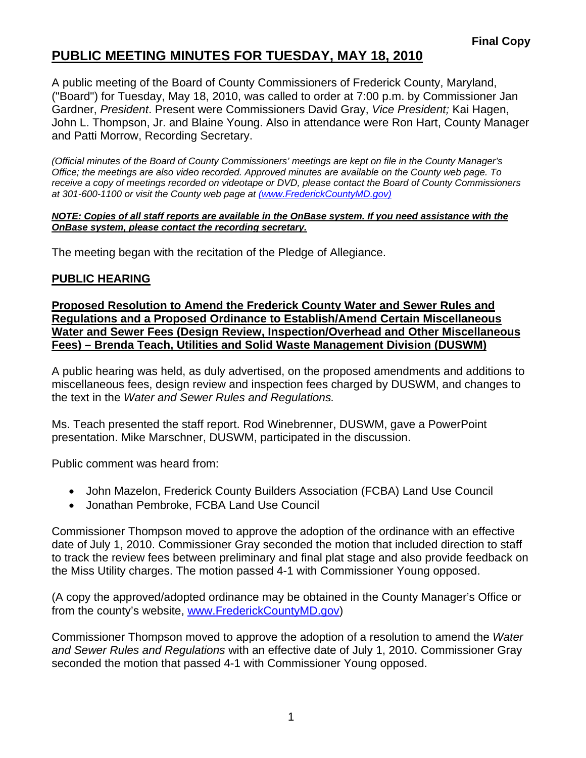## **PUBLIC MEETING MINUTES FOR TUESDAY, MAY 18, 2010**

A public meeting of the Board of County Commissioners of Frederick County, Maryland, ("Board") for Tuesday, May 18, 2010, was called to order at 7:00 p.m. by Commissioner Jan Gardner, *President*. Present were Commissioners David Gray, *Vice President;* Kai Hagen, John L. Thompson, Jr. and Blaine Young. Also in attendance were Ron Hart, County Manager and Patti Morrow, Recording Secretary.

*(Official minutes of the Board of County Commissioners' meetings are kept on file in the County Manager's Office; the meetings are also video recorded. Approved minutes are available on the County web page. To receive a copy of meetings recorded on videotape or DVD, please contact the Board of County Commissioners at 301-600-1100 or visit the County web page at (www.FrederickCountyMD.gov)*

#### *NOTE: Copies of all staff reports are available in the OnBase system. If you need assistance with the OnBase system, please contact the recording secretary.*

The meeting began with the recitation of the Pledge of Allegiance.

### **PUBLIC HEARING**

**Proposed Resolution to Amend the Frederick County Water and Sewer Rules and Regulations and a Proposed Ordinance to Establish/Amend Certain Miscellaneous Water and Sewer Fees (Design Review, Inspection/Overhead and Other Miscellaneous Fees) – Brenda Teach, Utilities and Solid Waste Management Division (DUSWM)**

A public hearing was held, as duly advertised, on the proposed amendments and additions to miscellaneous fees, design review and inspection fees charged by DUSWM, and changes to the text in the *Water and Sewer Rules and Regulations.*

Ms. Teach presented the staff report. Rod Winebrenner, DUSWM, gave a PowerPoint presentation. Mike Marschner, DUSWM, participated in the discussion.

Public comment was heard from:

- John Mazelon, Frederick County Builders Association (FCBA) Land Use Council
- Jonathan Pembroke, FCBA Land Use Council

Commissioner Thompson moved to approve the adoption of the ordinance with an effective date of July 1, 2010. Commissioner Gray seconded the motion that included direction to staff to track the review fees between preliminary and final plat stage and also provide feedback on the Miss Utility charges. The motion passed 4-1 with Commissioner Young opposed.

(A copy the approved/adopted ordinance may be obtained in the County Manager's Office or from the county's website, [www.FrederickCountyMD.gov\)](http://www.frederickcountymd.gov/)

Commissioner Thompson moved to approve the adoption of a resolution to amend the *Water and Sewer Rules and Regulations* with an effective date of July 1, 2010. Commissioner Gray seconded the motion that passed 4-1 with Commissioner Young opposed.